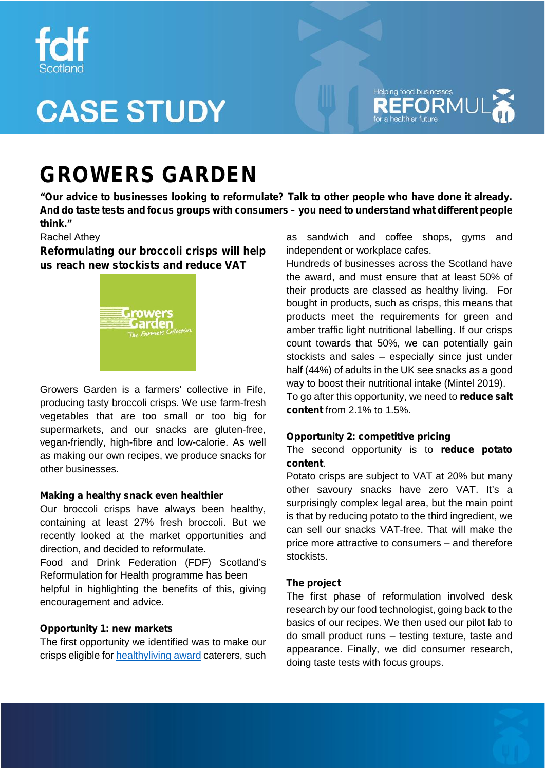

# **CASE STUDY**



### **GROWERS GARDEN**

**"Our advice to businesses looking to reformulate? Talk to other people who have done it already. And do taste tests and focus groups with consumers – you need to understand what different people think."**

#### Rachel Athey

**Reformulating our broccoli crisps will help us reach new stockists and reduce VAT**



Growers Garden is a farmers' collective in Fife, producing tasty broccoli crisps. We use farm-fresh vegetables that are too small or too big for supermarkets, and our snacks are gluten-free, vegan-friendly, high-fibre and low-calorie. As well as making our own recipes, we produce snacks for other businesses.

#### **Making a healthy snack even healthier**

Our broccoli crisps have always been healthy, containing at least 27% fresh broccoli. But we recently looked at the market opportunities and direction, and decided to reformulate.

Food and Drink Federation (FDF) Scotland's Reformulation for Health programme has been

helpful in highlighting the benefits of this, giving encouragement and advice.

#### **Opportunity 1: new markets**

The first opportunity we identified was to make our crisps eligible for healthyliving award caterers, such as sandwich and coffee shops, gyms and independent or workplace cafes.

Hundreds of businesses across the Scotland have the award, and must ensure that at least 50% of their products are classed as healthy living. For bought in products, such as crisps, this means that products meet the requirements for green and amber traffic light nutritional labelling. If our crisps count towards that 50%, we can potentially gain stockists and sales – especially since just under half (44%) of adults in the UK see snacks as a good way to boost their nutritional intake (Mintel 2019). To go after this opportunity, we need to **reduce salt content** from 2.1% to 1.5%.

#### **Opportunity 2: competitive pricing**

#### The second opportunity is to **reduce potato content**.

Potato crisps are subject to VAT at 20% but many other savoury snacks have zero VAT. It's a surprisingly complex legal area, but the main point is that by reducing potato to the third ingredient, we can sell our snacks VAT-free. That will make the price more attractive to consumers – and therefore stockists.

#### **The project**

The first phase of reformulation involved desk research by our food technologist, going back to the basics of our recipes. We then used our pilot lab to do small product runs – testing texture, taste and appearance. Finally, we did consumer research, doing taste tests with focus groups.